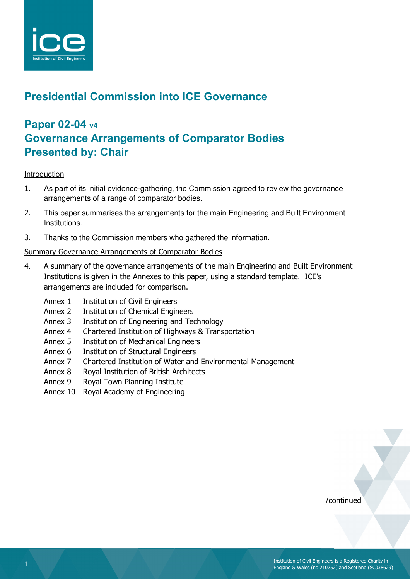

# **Presidential Commission into ICE Governance**

# **Paper 02-04 v4 Governance Arrangements of Comparator Bodies Presented by: Chair**

#### Introduction

- 1. As part of its initial evidence-gathering, the Commission agreed to review the governance arrangements of a range of comparator bodies.
- 2. This paper summarises the arrangements for the main Engineering and Built Environment Institutions.
- 3. Thanks to the Commission members who gathered the information.

# Summary Governance Arrangements of Comparator Bodies

- 4. A summary of the governance arrangements of the main Engineering and Built Environment Institutions is given in the Annexes to this paper, using a standard template. ICE's arrangements are included for comparison.
	- Annex 1 Institution of Civil Engineers
	- Annex 2 Institution of Chemical Engineers
	- Annex 3 Institution of Engineering and Technology
	- Annex 4 Chartered Institution of Highways & Transportation
	- Annex 5 Institution of Mechanical Engineers
	- Annex 6 Institution of Structural Engineers
	- Annex 7 Chartered Institution of Water and Environmental Management
	- Annex 8 Royal Institution of British Architects
	- Annex 9 Royal Town Planning Institute
	- Annex 10 Royal Academy of Engineering

/continued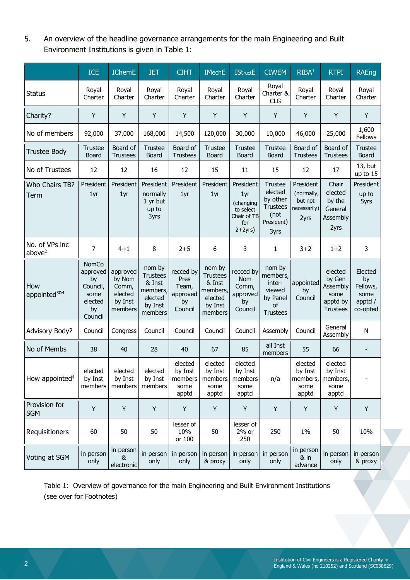5. An overview of the headline governance arrangements for the main Engineering and Built Environment Institutions is given in Table 1:

|                                      | <b>ICE</b>                                                              | <b>IChemE</b>                                                | <b>IET</b>                                                                       | <b>CIHT</b>                                             | <b>IMechE</b>                                                                    | <b>IStructE</b>                                                              | <b>CIWEM</b>                                                                           | RIBA <sup>1</sup>                                          | <b>RTPI</b>                                                          | <b>RAEng</b>                                             |
|--------------------------------------|-------------------------------------------------------------------------|--------------------------------------------------------------|----------------------------------------------------------------------------------|---------------------------------------------------------|----------------------------------------------------------------------------------|------------------------------------------------------------------------------|----------------------------------------------------------------------------------------|------------------------------------------------------------|----------------------------------------------------------------------|----------------------------------------------------------|
| <b>Status</b>                        | Royal<br>Charter                                                        | Royal<br>Charter                                             | Royal<br>Charter                                                                 | Royal<br>Charter                                        | Royal<br>Charter                                                                 | Royal<br>Charter                                                             | Royal<br>Charter &<br>CLG                                                              | Royal<br>Charter                                           | Royal<br>Charter                                                     | Royal<br>Charter                                         |
| Charity?                             | Y                                                                       | Y                                                            | Y                                                                                | Y                                                       | Y                                                                                | Υ                                                                            | Y                                                                                      | Y                                                          | Y                                                                    | Y                                                        |
| No of members                        | 92,000                                                                  | 37,000                                                       | 168,000                                                                          | 14,500                                                  | 120,000                                                                          | 30,000                                                                       | 10,000                                                                                 | 46,000                                                     | 25,000                                                               | 1,600<br>Fellows                                         |
| Trustee Body                         | <b>Trustee</b><br>Board                                                 | Board of<br><b>Trustees</b>                                  | <b>Trustee</b><br>Board                                                          | Board of<br><b>Trustees</b>                             | Trustee<br>Board                                                                 | Trustee<br>Board                                                             | <b>Trustee</b><br>Board                                                                | Board of<br><b>Trustees</b>                                | Board of<br><b>Trustees</b>                                          | <b>Trustee</b><br>Board                                  |
| No of Trustees                       | 12                                                                      | 12                                                           | 16                                                                               | 12                                                      | 15                                                                               | 11                                                                           | 15                                                                                     | 12                                                         | 17                                                                   | 13, but<br>up to 15                                      |
| Who Chairs TB?<br>Term               | President<br>1yr                                                        | President<br>1yr                                             | President<br>normally<br>1 yr but<br>up to<br>3yrs                               | President<br>1yr                                        | President<br>1yr                                                                 | President<br>1yr<br>(changing<br>to select<br>Chair of TB<br>for<br>$2+2yrs$ | <b>Trustee</b><br>elected<br>by other<br><b>Trustees</b><br>(not<br>President)<br>3yrs | President<br>(normally,<br>but not<br>necessarily)<br>2yrs | Chair<br>elected<br>by the<br>General<br>Assembly<br>2yrs            | President<br>up to<br>5yrs                               |
| No. of VPs inc<br>above <sup>2</sup> | $\overline{7}$                                                          | $4 + 1$                                                      | 8                                                                                | $2 + 5$                                                 | 6                                                                                | 3                                                                            | $\mathbf{1}$                                                                           | $3 + 2$                                                    | $1+2$                                                                | 3                                                        |
| How<br>appointed <sup>3&amp;4</sup>  | NomCo<br>approved<br>by<br>Council,<br>some<br>elected<br>by<br>Council | approved<br>by Nom<br>Comm,<br>elected<br>by Inst<br>members | nom by<br><b>Trustees</b><br>& Inst<br>members,<br>elected<br>by Inst<br>members | recced by<br>Pres<br>Team,<br>approved<br>by<br>Council | nom by<br><b>Trustees</b><br>& Inst<br>members,<br>elected<br>by Inst<br>members | recced by<br>Nom<br>Comm,<br>approved<br>by<br>Council                       | nom by<br>members,<br>inter-<br>viewed<br>by Panel<br>οf<br><b>Trustees</b>            | appointed<br>by<br>Council                                 | elected<br>by Gen<br>Assembly<br>some<br>apptd by<br><b>Trustees</b> | Elected<br>by<br>Fellows,<br>some<br>apptd /<br>co-opted |
| <b>Advisory Body?</b>                | Council                                                                 | Congress                                                     | Council                                                                          | Council                                                 | Council                                                                          | Council                                                                      | Assembly                                                                               | Council                                                    | General<br>Assembly                                                  | N                                                        |
| No of Membs                          | 38                                                                      | 40                                                           | 28                                                                               | 40                                                      | 67                                                                               | 85                                                                           | all Inst<br>members                                                                    | 55                                                         | 66                                                                   |                                                          |
| How appointed <sup>4</sup>           | elected<br>by Inst<br>members                                           | elected<br>by Inst<br>members                                | elected<br>by Inst<br>members                                                    | elected<br>by Inst<br>members<br>some<br>apptd          | elected<br>by Inst<br>members<br>some<br>apptd                                   | elected<br>by Inst<br>members<br>some<br>apptd                               | n/a                                                                                    | elected<br>by Inst<br>members,<br>some<br>apptd            | elected<br>by Inst<br>members,<br>some<br>apptd                      |                                                          |
| Provision for<br><b>SGM</b>          | Y                                                                       | Y                                                            | Y                                                                                | Y                                                       | Υ                                                                                | Υ                                                                            | Y                                                                                      | Y                                                          | Υ                                                                    | Y                                                        |
| Requisitioners                       | 60                                                                      | 50                                                           | 50                                                                               | lesser of<br>10%<br>or 100                              | 50                                                                               | lesser of<br>2% or<br>250                                                    | 250                                                                                    | 1%                                                         | 50                                                                   | 10%                                                      |
| Voting at SGM                        | in person<br>only                                                       | in person<br>&<br>electronic                                 | in person<br>only                                                                | in person<br>only                                       | in person<br>& proxy                                                             | in person<br>only                                                            | in person<br>only                                                                      | in person<br>$8$ in<br>advance                             | in person<br>only                                                    | in person<br>& proxy                                     |

 Table 1: Overview of governance for the main Engineering and Built Environment Institutions (see over for Footnotes)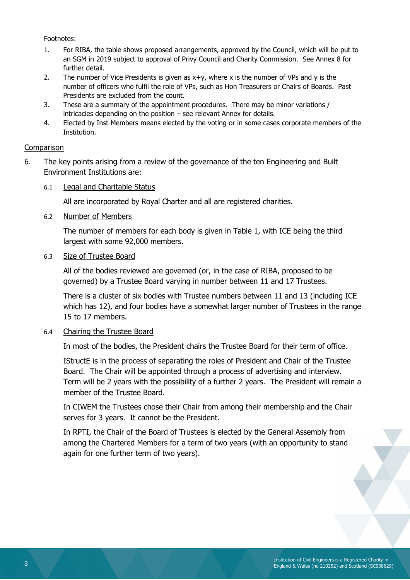Footnotes:

- 1. For RIBA, the table shows proposed arrangements, approved by the Council, which will be put to an SGM in 2019 subject to approval of Privy Council and Charity Commission. See Annex 8 for further detail.
- 2. The number of Vice Presidents is given as  $x+y$ , where x is the number of VPs and y is the number of officers who fulfil the role of VPs, such as Hon Treasurers or Chairs of Boards. Past Presidents are excluded from the count.
- 3. These are a summary of the appointment procedures. There may be minor variations / intricacies depending on the position – see relevant Annex for details.
- 4. Elected by Inst Members means elected by the voting or in some cases corporate members of the Institution.

# **Comparison**

- 6. The key points arising from a review of the governance of the ten Engineering and Built Environment Institutions are:
	- 6.1 Legal and Charitable Status

All are incorporated by Royal Charter and all are registered charities.

6.2 Number of Members

The number of members for each body is given in Table 1, with ICE being the third largest with some 92,000 members.

# 6.3 Size of Trustee Board

All of the bodies reviewed are governed (or, in the case of RIBA, proposed to be governed) by a Trustee Board varying in number between 11 and 17 Trustees.

There is a cluster of six bodies with Trustee numbers between 11 and 13 (including ICE which has 12), and four bodies have a somewhat larger number of Trustees in the range 15 to 17 members.

#### 6.4 Chairing the Trustee Board

In most of the bodies, the President chairs the Trustee Board for their term of office.

IStructE is in the process of separating the roles of President and Chair of the Trustee Board. The Chair will be appointed through a process of advertising and interview. Term will be 2 years with the possibility of a further 2 years. The President will remain a member of the Trustee Board.

In CIWEM the Trustees chose their Chair from among their membership and the Chair serves for 3 years. It cannot be the President.

In RPTI, the Chair of the Board of Trustees is elected by the General Assembly from among the Chartered Members for a term of two years (with an opportunity to stand again for one further term of two years).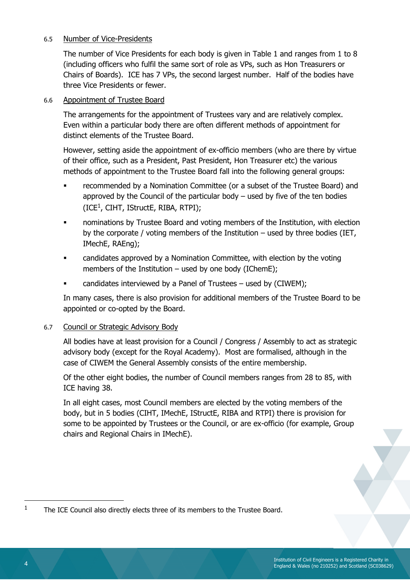#### 6.5 Number of Vice-Presidents

The number of Vice Presidents for each body is given in Table 1 and ranges from 1 to 8 (including officers who fulfil the same sort of role as VPs, such as Hon Treasurers or Chairs of Boards). ICE has 7 VPs, the second largest number. Half of the bodies have three Vice Presidents or fewer.

# 6.6 Appointment of Trustee Board

The arrangements for the appointment of Trustees vary and are relatively complex. Even within a particular body there are often different methods of appointment for distinct elements of the Trustee Board.

However, setting aside the appointment of ex-officio members (who are there by virtue of their office, such as a President, Past President, Hon Treasurer etc) the various methods of appointment to the Trustee Board fall into the following general groups:

- recommended by a Nomination Committee (or a subset of the Trustee Board) and approved by the Council of the particular body  $-$  used by five of the ten bodies  $(ICE<sup>1</sup>, CIHT, IStructE, RIBA, RTPI);$
- nominations by Trustee Board and voting members of the Institution, with election by the corporate / voting members of the Institution – used by three bodies (IET, IMechE, RAEng);
- candidates approved by a Nomination Committee, with election by the voting members of the Institution – used by one body (IChemE);
- candidates interviewed by a Panel of Trustees used by (CIWEM);

In many cases, there is also provision for additional members of the Trustee Board to be appointed or co-opted by the Board.

# 6.7 Council or Strategic Advisory Body

All bodies have at least provision for a Council / Congress / Assembly to act as strategic advisory body (except for the Royal Academy). Most are formalised, although in the case of CIWEM the General Assembly consists of the entire membership.

Of the other eight bodies, the number of Council members ranges from 28 to 85, with ICE having 38.

In all eight cases, most Council members are elected by the voting members of the body, but in 5 bodies (CIHT, IMechE, IStructE, RIBA and RTPI) there is provision for some to be appointed by Trustees or the Council, or are ex-officio (for example, Group chairs and Regional Chairs in IMechE).

l

<sup>1</sup> The ICE Council also directly elects three of its members to the Trustee Board.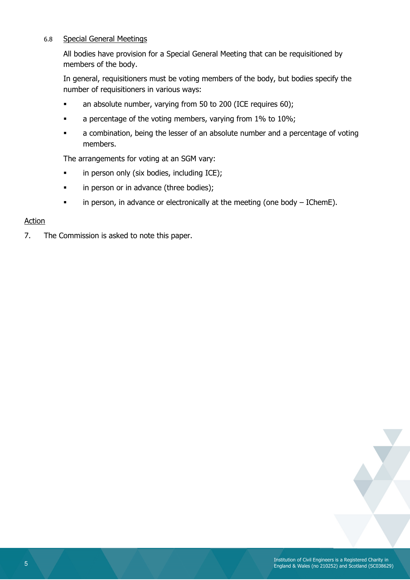# 6.8 Special General Meetings

All bodies have provision for a Special General Meeting that can be requisitioned by members of the body.

In general, requisitioners must be voting members of the body, but bodies specify the number of requisitioners in various ways:

- an absolute number, varying from 50 to 200 (ICE requires 60);
- a percentage of the voting members, varying from 1% to 10%;
- a combination, being the lesser of an absolute number and a percentage of voting members.

The arrangements for voting at an SGM vary:

- in person only (six bodies, including ICE);
- in person or in advance (three bodies);
- in person, in advance or electronically at the meeting (one body IChemE).

#### Action

7. The Commission is asked to note this paper.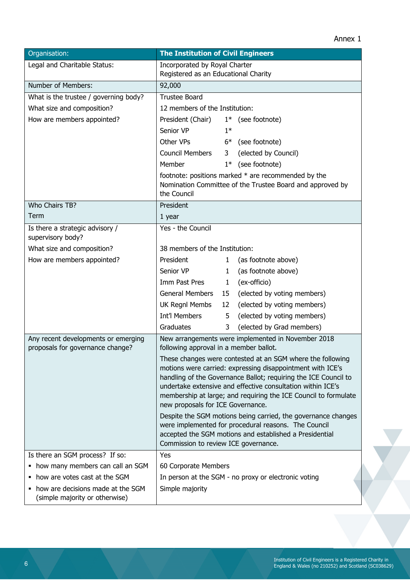| Organisation:                                                           | <b>The Institution of Civil Engineers</b>                                                                                                                                                                                                                                                                                                                          |  |  |  |
|-------------------------------------------------------------------------|--------------------------------------------------------------------------------------------------------------------------------------------------------------------------------------------------------------------------------------------------------------------------------------------------------------------------------------------------------------------|--|--|--|
| Legal and Charitable Status:                                            | Incorporated by Royal Charter                                                                                                                                                                                                                                                                                                                                      |  |  |  |
|                                                                         | Registered as an Educational Charity                                                                                                                                                                                                                                                                                                                               |  |  |  |
| Number of Members:                                                      | 92,000                                                                                                                                                                                                                                                                                                                                                             |  |  |  |
| What is the trustee / governing body?                                   | <b>Trustee Board</b>                                                                                                                                                                                                                                                                                                                                               |  |  |  |
| What size and composition?                                              | 12 members of the Institution:                                                                                                                                                                                                                                                                                                                                     |  |  |  |
| How are members appointed?                                              | President (Chair)<br>$1*$ (see footnote)                                                                                                                                                                                                                                                                                                                           |  |  |  |
|                                                                         | Senior VP<br>$1*$                                                                                                                                                                                                                                                                                                                                                  |  |  |  |
|                                                                         | Other VPs<br>6* (see footnote)                                                                                                                                                                                                                                                                                                                                     |  |  |  |
|                                                                         | <b>Council Members</b><br>(elected by Council)<br>3 <sup>7</sup>                                                                                                                                                                                                                                                                                                   |  |  |  |
|                                                                         | (see footnote)<br>Member<br>$1*$                                                                                                                                                                                                                                                                                                                                   |  |  |  |
|                                                                         | footnote: positions marked * are recommended by the<br>Nomination Committee of the Trustee Board and approved by<br>the Council                                                                                                                                                                                                                                    |  |  |  |
| Who Chairs TB?                                                          | President                                                                                                                                                                                                                                                                                                                                                          |  |  |  |
| Term                                                                    | 1 year                                                                                                                                                                                                                                                                                                                                                             |  |  |  |
| Is there a strategic advisory /<br>supervisory body?                    | Yes - the Council                                                                                                                                                                                                                                                                                                                                                  |  |  |  |
| What size and composition?                                              | 38 members of the Institution:                                                                                                                                                                                                                                                                                                                                     |  |  |  |
| How are members appointed?                                              | President<br>(as footnote above)<br>1                                                                                                                                                                                                                                                                                                                              |  |  |  |
|                                                                         | Senior VP<br>(as footnote above)<br>1                                                                                                                                                                                                                                                                                                                              |  |  |  |
|                                                                         | Imm Past Pres<br>(ex-officio)<br>1                                                                                                                                                                                                                                                                                                                                 |  |  |  |
|                                                                         | General Members<br>(elected by voting members)<br>15                                                                                                                                                                                                                                                                                                               |  |  |  |
|                                                                         | UK Regnl Membs<br>(elected by voting members)<br>12 <sup>2</sup>                                                                                                                                                                                                                                                                                                   |  |  |  |
|                                                                         | <b>Int'l Members</b><br>(elected by voting members)<br>5                                                                                                                                                                                                                                                                                                           |  |  |  |
|                                                                         | Graduates<br>(elected by Grad members)<br>3                                                                                                                                                                                                                                                                                                                        |  |  |  |
| Any recent developments or emerging<br>proposals for governance change? | New arrangements were implemented in November 2018<br>following approval in a member ballot.                                                                                                                                                                                                                                                                       |  |  |  |
|                                                                         | These changes were contested at an SGM where the following<br>motions were carried: expressing disappointment with ICE's<br>handling of the Governance Ballot; requiring the ICE Council to<br>undertake extensive and effective consultation within ICE's<br>membership at large; and requiring the ICE Council to formulate<br>new proposals for ICE Governance. |  |  |  |
|                                                                         | Despite the SGM motions being carried, the governance changes<br>were implemented for procedural reasons. The Council<br>accepted the SGM motions and established a Presidential<br>Commission to review ICE governance.                                                                                                                                           |  |  |  |
| Is there an SGM process? If so:                                         | Yes                                                                                                                                                                                                                                                                                                                                                                |  |  |  |
| • how many members can call an SGM                                      | 60 Corporate Members                                                                                                                                                                                                                                                                                                                                               |  |  |  |
| how are votes cast at the SGM<br>٠                                      | In person at the SGM - no proxy or electronic voting                                                                                                                                                                                                                                                                                                               |  |  |  |
| • how are decisions made at the SGM<br>(simple majority or otherwise)   | Simple majority                                                                                                                                                                                                                                                                                                                                                    |  |  |  |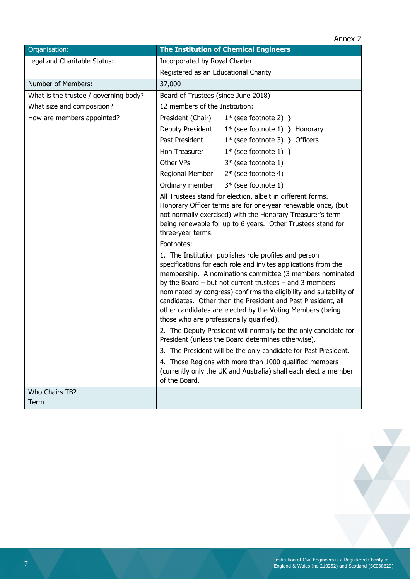| Organisation:                         | <b>The Institution of Chemical Engineers</b>                                                                                                                                                                                                                                                                                                                                                                                                                                                      |  |  |  |
|---------------------------------------|---------------------------------------------------------------------------------------------------------------------------------------------------------------------------------------------------------------------------------------------------------------------------------------------------------------------------------------------------------------------------------------------------------------------------------------------------------------------------------------------------|--|--|--|
| Legal and Charitable Status:          | Incorporated by Royal Charter                                                                                                                                                                                                                                                                                                                                                                                                                                                                     |  |  |  |
|                                       | Registered as an Educational Charity                                                                                                                                                                                                                                                                                                                                                                                                                                                              |  |  |  |
| Number of Members:                    | 37,000                                                                                                                                                                                                                                                                                                                                                                                                                                                                                            |  |  |  |
| What is the trustee / governing body? | Board of Trustees (since June 2018)                                                                                                                                                                                                                                                                                                                                                                                                                                                               |  |  |  |
| What size and composition?            | 12 members of the Institution:                                                                                                                                                                                                                                                                                                                                                                                                                                                                    |  |  |  |
| How are members appointed?            | President (Chair)<br>$1*$ (see footnote 2) }                                                                                                                                                                                                                                                                                                                                                                                                                                                      |  |  |  |
|                                       | Deputy President<br>$1^*$ (see footnote 1) } Honorary                                                                                                                                                                                                                                                                                                                                                                                                                                             |  |  |  |
|                                       | Past President<br>$1*$ (see footnote 3) } Officers                                                                                                                                                                                                                                                                                                                                                                                                                                                |  |  |  |
|                                       | Hon Treasurer<br>$1^*$ (see footnote 1) }                                                                                                                                                                                                                                                                                                                                                                                                                                                         |  |  |  |
|                                       | Other VPs<br>$3*$ (see footnote 1)                                                                                                                                                                                                                                                                                                                                                                                                                                                                |  |  |  |
|                                       | Regional Member<br>$2*$ (see footnote 4)                                                                                                                                                                                                                                                                                                                                                                                                                                                          |  |  |  |
|                                       | Ordinary member<br>$3*$ (see footnote 1)                                                                                                                                                                                                                                                                                                                                                                                                                                                          |  |  |  |
|                                       | All Trustees stand for election, albeit in different forms.<br>Honorary Officer terms are for one-year renewable once, (but<br>not normally exercised) with the Honorary Treasurer's term<br>being renewable for up to 6 years. Other Trustees stand for<br>three-year terms.                                                                                                                                                                                                                     |  |  |  |
|                                       | Footnotes:                                                                                                                                                                                                                                                                                                                                                                                                                                                                                        |  |  |  |
|                                       | 1. The Institution publishes role profiles and person<br>specifications for each role and invites applications from the<br>membership. A nominations committee (3 members nominated<br>by the Board $-$ but not current trustees $-$ and 3 members<br>nominated by congress) confirms the eligibility and suitability of<br>candidates. Other than the President and Past President, all<br>other candidates are elected by the Voting Members (being<br>those who are professionally qualified). |  |  |  |
|                                       | 2. The Deputy President will normally be the only candidate for<br>President (unless the Board determines otherwise).                                                                                                                                                                                                                                                                                                                                                                             |  |  |  |
|                                       | 3. The President will be the only candidate for Past President.                                                                                                                                                                                                                                                                                                                                                                                                                                   |  |  |  |
|                                       | 4. Those Regions with more than 1000 qualified members<br>(currently only the UK and Australia) shall each elect a member<br>of the Board.                                                                                                                                                                                                                                                                                                                                                        |  |  |  |
| Who Chairs TB?                        |                                                                                                                                                                                                                                                                                                                                                                                                                                                                                                   |  |  |  |
| Term                                  |                                                                                                                                                                                                                                                                                                                                                                                                                                                                                                   |  |  |  |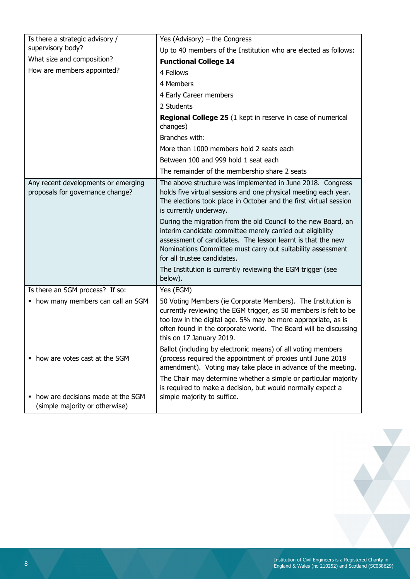| Is there a strategic advisory /                                         | Yes (Advisory) - the Congress                                                                                                                                                                                                                                                                                                                                                                                                                                                                                                                                                            |
|-------------------------------------------------------------------------|------------------------------------------------------------------------------------------------------------------------------------------------------------------------------------------------------------------------------------------------------------------------------------------------------------------------------------------------------------------------------------------------------------------------------------------------------------------------------------------------------------------------------------------------------------------------------------------|
| supervisory body?                                                       | Up to 40 members of the Institution who are elected as follows:                                                                                                                                                                                                                                                                                                                                                                                                                                                                                                                          |
| What size and composition?                                              | <b>Functional College 14</b>                                                                                                                                                                                                                                                                                                                                                                                                                                                                                                                                                             |
| How are members appointed?                                              | 4 Fellows                                                                                                                                                                                                                                                                                                                                                                                                                                                                                                                                                                                |
|                                                                         | 4 Members                                                                                                                                                                                                                                                                                                                                                                                                                                                                                                                                                                                |
|                                                                         | 4 Early Career members                                                                                                                                                                                                                                                                                                                                                                                                                                                                                                                                                                   |
|                                                                         | 2 Students                                                                                                                                                                                                                                                                                                                                                                                                                                                                                                                                                                               |
|                                                                         | Regional College 25 (1 kept in reserve in case of numerical<br>changes)                                                                                                                                                                                                                                                                                                                                                                                                                                                                                                                  |
|                                                                         | Branches with:                                                                                                                                                                                                                                                                                                                                                                                                                                                                                                                                                                           |
|                                                                         | More than 1000 members hold 2 seats each                                                                                                                                                                                                                                                                                                                                                                                                                                                                                                                                                 |
|                                                                         | Between 100 and 999 hold 1 seat each                                                                                                                                                                                                                                                                                                                                                                                                                                                                                                                                                     |
|                                                                         | The remainder of the membership share 2 seats                                                                                                                                                                                                                                                                                                                                                                                                                                                                                                                                            |
| Any recent developments or emerging<br>proposals for governance change? | The above structure was implemented in June 2018. Congress<br>holds five virtual sessions and one physical meeting each year.<br>The elections took place in October and the first virtual session<br>is currently underway.<br>During the migration from the old Council to the new Board, an<br>interim candidate committee merely carried out eligibility<br>assessment of candidates. The lesson learnt is that the new<br>Nominations Committee must carry out suitability assessment<br>for all trustee candidates.<br>The Institution is currently reviewing the EGM trigger (see |
|                                                                         | below).                                                                                                                                                                                                                                                                                                                                                                                                                                                                                                                                                                                  |
| Is there an SGM process? If so:                                         | Yes (EGM)                                                                                                                                                                                                                                                                                                                                                                                                                                                                                                                                                                                |
| • how many members can call an SGM                                      | 50 Voting Members (ie Corporate Members). The Institution is<br>currently reviewing the EGM trigger, as 50 members is felt to be<br>too low in the digital age. 5% may be more appropriate, as is<br>often found in the corporate world. The Board will be discussing<br>this on 17 January 2019.                                                                                                                                                                                                                                                                                        |
| • how are votes cast at the SGM                                         | Ballot (including by electronic means) of all voting members<br>(process required the appointment of proxies until June 2018<br>amendment). Voting may take place in advance of the meeting.                                                                                                                                                                                                                                                                                                                                                                                             |
| how are decisions made at the SGM                                       | The Chair may determine whether a simple or particular majority<br>is required to make a decision, but would normally expect a<br>simple majority to suffice.                                                                                                                                                                                                                                                                                                                                                                                                                            |
| (simple majority or otherwise)                                          |                                                                                                                                                                                                                                                                                                                                                                                                                                                                                                                                                                                          |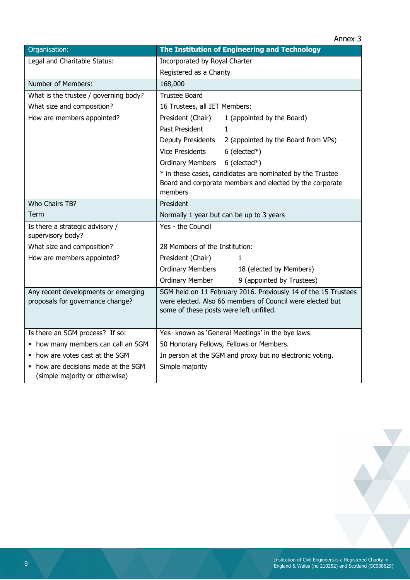|                                                                         | Annex <sub>3</sub>                                                                                                                                                     |
|-------------------------------------------------------------------------|------------------------------------------------------------------------------------------------------------------------------------------------------------------------|
| Organisation:                                                           | The Institution of Engineering and Technology                                                                                                                          |
| Legal and Charitable Status:                                            | Incorporated by Royal Charter                                                                                                                                          |
|                                                                         | Registered as a Charity                                                                                                                                                |
| Number of Members:                                                      | 168,000                                                                                                                                                                |
| What is the trustee / governing body?                                   | <b>Trustee Board</b>                                                                                                                                                   |
| What size and composition?                                              | 16 Trustees, all IET Members:                                                                                                                                          |
| How are members appointed?                                              | President (Chair)<br>1 (appointed by the Board)                                                                                                                        |
|                                                                         | Past President<br>$\mathbf{1}$                                                                                                                                         |
|                                                                         | Deputy Presidents<br>2 (appointed by the Board from VPs)                                                                                                               |
|                                                                         | <b>Vice Presidents</b><br>$6$ (elected*)                                                                                                                               |
|                                                                         | $6$ (elected*)<br><b>Ordinary Members</b>                                                                                                                              |
|                                                                         | * in these cases, candidates are nominated by the Trustee                                                                                                              |
|                                                                         | Board and corporate members and elected by the corporate                                                                                                               |
|                                                                         | members                                                                                                                                                                |
| Who Chairs TB?                                                          | President                                                                                                                                                              |
| Term                                                                    | Normally 1 year but can be up to 3 years                                                                                                                               |
| Is there a strategic advisory /<br>supervisory body?                    | Yes - the Council                                                                                                                                                      |
| What size and composition?                                              | 28 Members of the Institution:                                                                                                                                         |
| How are members appointed?                                              | President (Chair)<br>1                                                                                                                                                 |
|                                                                         | <b>Ordinary Members</b><br>18 (elected by Members)                                                                                                                     |
|                                                                         | <b>Ordinary Member</b><br>9 (appointed by Trustees)                                                                                                                    |
| Any recent developments or emerging<br>proposals for governance change? | SGM held on 11 February 2016. Previously 14 of the 15 Trustees<br>were elected. Also 66 members of Council were elected but<br>some of these posts were left unfilled. |
| Is there an SGM process? If so:                                         | Yes- known as 'General Meetings' in the bye laws.                                                                                                                      |
| • how many members can call an SGM                                      | 50 Honorary Fellows, Fellows or Members.                                                                                                                               |
| • how are votes cast at the SGM                                         | In person at the SGM and proxy but no electronic voting.                                                                                                               |
| • how are decisions made at the SGM<br>(simple majority or otherwise)   | Simple majority                                                                                                                                                        |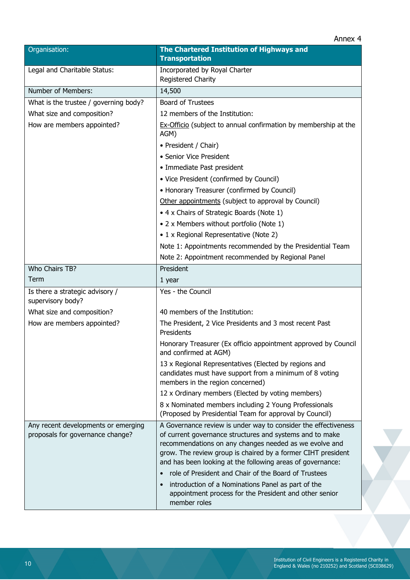| Organisation:                                        | The Chartered Institution of Highways and<br><b>Transportation</b>                                                                                                                                                                               |
|------------------------------------------------------|--------------------------------------------------------------------------------------------------------------------------------------------------------------------------------------------------------------------------------------------------|
| Legal and Charitable Status:                         | Incorporated by Royal Charter<br>Registered Charity                                                                                                                                                                                              |
| Number of Members:                                   | 14,500                                                                                                                                                                                                                                           |
| What is the trustee / governing body?                | <b>Board of Trustees</b>                                                                                                                                                                                                                         |
| What size and composition?                           | 12 members of the Institution:                                                                                                                                                                                                                   |
| How are members appointed?                           | Ex-Officio (subject to annual confirmation by membership at the<br>AGM)                                                                                                                                                                          |
|                                                      | • President / Chair)                                                                                                                                                                                                                             |
|                                                      | • Senior Vice President                                                                                                                                                                                                                          |
|                                                      | • Immediate Past president                                                                                                                                                                                                                       |
|                                                      | • Vice President (confirmed by Council)                                                                                                                                                                                                          |
|                                                      | • Honorary Treasurer (confirmed by Council)                                                                                                                                                                                                      |
|                                                      | Other appointments (subject to approval by Council)                                                                                                                                                                                              |
|                                                      | • 4 x Chairs of Strategic Boards (Note 1)                                                                                                                                                                                                        |
|                                                      | • 2 x Members without portfolio (Note 1)                                                                                                                                                                                                         |
|                                                      | • 1 x Regional Representative (Note 2)                                                                                                                                                                                                           |
|                                                      | Note 1: Appointments recommended by the Presidential Team                                                                                                                                                                                        |
|                                                      | Note 2: Appointment recommended by Regional Panel                                                                                                                                                                                                |
| Who Chairs TB?                                       | President                                                                                                                                                                                                                                        |
| Term                                                 | 1 year                                                                                                                                                                                                                                           |
| Is there a strategic advisory /<br>supervisory body? | Yes - the Council                                                                                                                                                                                                                                |
| What size and composition?                           | 40 members of the Institution:                                                                                                                                                                                                                   |
| How are members appointed?                           | The President, 2 Vice Presidents and 3 most recent Past<br>Presidents                                                                                                                                                                            |
|                                                      | Honorary Treasurer (Ex officio appointment approved by Council<br>and confirmed at AGM)                                                                                                                                                          |
|                                                      | 13 x Regional Representatives (Elected by regions and<br>candidates must have support from a minimum of 8 voting<br>members in the region concerned)                                                                                             |
|                                                      | 12 x Ordinary members (Elected by voting members)                                                                                                                                                                                                |
|                                                      | 8 x Nominated members including 2 Young Professionals<br>(Proposed by Presidential Team for approval by Council)                                                                                                                                 |
| Any recent developments or emerging                  | A Governance review is under way to consider the effectiveness                                                                                                                                                                                   |
| proposals for governance change?                     | of current governance structures and systems and to make<br>recommendations on any changes needed as we evolve and<br>grow. The review group is chaired by a former CIHT president<br>and has been looking at the following areas of governance: |
|                                                      | role of President and Chair of the Board of Trustees                                                                                                                                                                                             |
|                                                      | introduction of a Nominations Panel as part of the<br>appointment process for the President and other senior<br>member roles                                                                                                                     |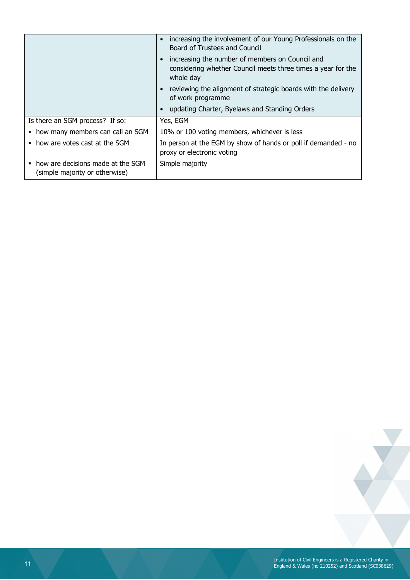|                                                                     | increasing the involvement of our Young Professionals on the<br>$\bullet$<br>Board of Trustees and Council                   |
|---------------------------------------------------------------------|------------------------------------------------------------------------------------------------------------------------------|
|                                                                     | increasing the number of members on Council and<br>considering whether Council meets three times a year for the<br>whole day |
|                                                                     | reviewing the alignment of strategic boards with the delivery<br>of work programme                                           |
|                                                                     | updating Charter, Byelaws and Standing Orders                                                                                |
| Is there an SGM process? If so:                                     | Yes, EGM                                                                                                                     |
| how many members can call an SGM                                    | 10% or 100 voting members, whichever is less                                                                                 |
| • how are votes cast at the SGM                                     | In person at the EGM by show of hands or poll if demanded - no<br>proxy or electronic voting                                 |
| how are decisions made at the SGM<br>(simple majority or otherwise) | Simple majority                                                                                                              |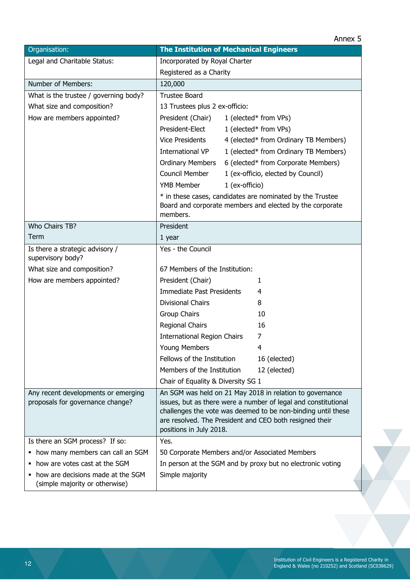| Organisation:                                                           | <b>The Institution of Mechanical Engineers</b>                                                                                                                                                                                                                                   |
|-------------------------------------------------------------------------|----------------------------------------------------------------------------------------------------------------------------------------------------------------------------------------------------------------------------------------------------------------------------------|
| Legal and Charitable Status:                                            | Incorporated by Royal Charter                                                                                                                                                                                                                                                    |
|                                                                         | Registered as a Charity                                                                                                                                                                                                                                                          |
| Number of Members:                                                      | 120,000                                                                                                                                                                                                                                                                          |
| What is the trustee / governing body?                                   | <b>Trustee Board</b>                                                                                                                                                                                                                                                             |
| What size and composition?                                              | 13 Trustees plus 2 ex-officio:                                                                                                                                                                                                                                                   |
| How are members appointed?                                              | President (Chair)<br>1 (elected* from VPs)                                                                                                                                                                                                                                       |
|                                                                         | President-Elect<br>1 (elected* from VPs)                                                                                                                                                                                                                                         |
|                                                                         | <b>Vice Presidents</b><br>4 (elected* from Ordinary TB Members)                                                                                                                                                                                                                  |
|                                                                         | <b>International VP</b><br>1 (elected* from Ordinary TB Members)                                                                                                                                                                                                                 |
|                                                                         | <b>Ordinary Members</b><br>6 (elected* from Corporate Members)                                                                                                                                                                                                                   |
|                                                                         | Council Member<br>1 (ex-officio, elected by Council)                                                                                                                                                                                                                             |
|                                                                         | <b>YMB Member</b><br>1 (ex-officio)                                                                                                                                                                                                                                              |
|                                                                         | * in these cases, candidates are nominated by the Trustee<br>Board and corporate members and elected by the corporate<br>members.                                                                                                                                                |
| Who Chairs TB?                                                          | President                                                                                                                                                                                                                                                                        |
| Term                                                                    | 1 year                                                                                                                                                                                                                                                                           |
| Is there a strategic advisory /<br>supervisory body?                    | Yes - the Council                                                                                                                                                                                                                                                                |
| What size and composition?                                              | 67 Members of the Institution:                                                                                                                                                                                                                                                   |
| How are members appointed?                                              | President (Chair)<br>1                                                                                                                                                                                                                                                           |
|                                                                         | <b>Immediate Past Presidents</b><br>4                                                                                                                                                                                                                                            |
|                                                                         | <b>Divisional Chairs</b><br>8                                                                                                                                                                                                                                                    |
|                                                                         | Group Chairs<br>10                                                                                                                                                                                                                                                               |
|                                                                         | Regional Chairs<br>16                                                                                                                                                                                                                                                            |
|                                                                         | <b>International Region Chairs</b><br>7                                                                                                                                                                                                                                          |
|                                                                         | Young Members<br>4                                                                                                                                                                                                                                                               |
|                                                                         | Fellows of the Institution<br>16 (elected)                                                                                                                                                                                                                                       |
|                                                                         | Members of the Institution<br>12 (elected)                                                                                                                                                                                                                                       |
|                                                                         | Chair of Equality & Diversity SG 1                                                                                                                                                                                                                                               |
| Any recent developments or emerging<br>proposals for governance change? | An SGM was held on 21 May 2018 in relation to governance<br>issues, but as there were a number of legal and constitutional<br>challenges the vote was deemed to be non-binding until these<br>are resolved. The President and CEO both resigned their<br>positions in July 2018. |
| Is there an SGM process? If so:                                         | Yes.                                                                                                                                                                                                                                                                             |
| • how many members can call an SGM                                      | 50 Corporate Members and/or Associated Members                                                                                                                                                                                                                                   |
| • how are votes cast at the SGM                                         | In person at the SGM and by proxy but no electronic voting                                                                                                                                                                                                                       |
| how are decisions made at the SGM<br>(simple majority or otherwise)     | Simple majority                                                                                                                                                                                                                                                                  |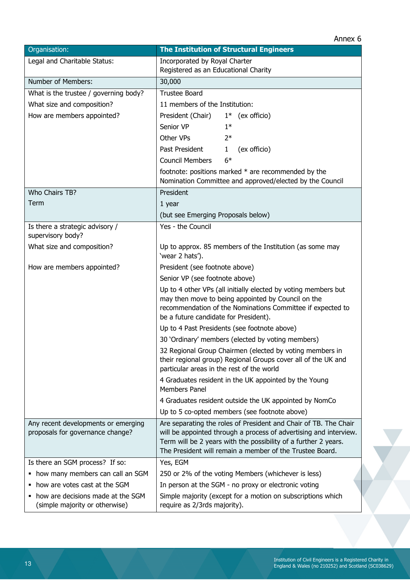| Organisation:                                                         | <b>The Institution of Structural Engineers</b>                                                                              |
|-----------------------------------------------------------------------|-----------------------------------------------------------------------------------------------------------------------------|
| Legal and Charitable Status:                                          | Incorporated by Royal Charter                                                                                               |
|                                                                       | Registered as an Educational Charity                                                                                        |
| Number of Members:                                                    | 30,000                                                                                                                      |
| What is the trustee / governing body?                                 | <b>Trustee Board</b>                                                                                                        |
| What size and composition?                                            | 11 members of the Institution:                                                                                              |
| How are members appointed?                                            | President (Chair)<br>$1^*$ (ex officio)                                                                                     |
|                                                                       | Senior VP<br>$1*$                                                                                                           |
|                                                                       | Other VPs<br>$2*$                                                                                                           |
|                                                                       | Past President<br>(ex officio)<br>$\mathbf{1}$                                                                              |
|                                                                       | <b>Council Members</b><br>$6*$                                                                                              |
|                                                                       | footnote: positions marked * are recommended by the<br>Nomination Committee and approved/elected by the Council             |
| Who Chairs TB?                                                        | President                                                                                                                   |
| Term                                                                  | 1 year                                                                                                                      |
|                                                                       | (but see Emerging Proposals below)                                                                                          |
| Is there a strategic advisory /<br>supervisory body?                  | Yes - the Council                                                                                                           |
| What size and composition?                                            | Up to approx. 85 members of the Institution (as some may<br>'wear 2 hats').                                                 |
| How are members appointed?                                            | President (see footnote above)                                                                                              |
|                                                                       | Senior VP (see footnote above)                                                                                              |
|                                                                       | Up to 4 other VPs (all initially elected by voting members but                                                              |
|                                                                       | may then move to being appointed by Council on the                                                                          |
|                                                                       | recommendation of the Nominations Committee if expected to<br>be a future candidate for President).                         |
|                                                                       | Up to 4 Past Presidents (see footnote above)                                                                                |
|                                                                       | 30 'Ordinary' members (elected by voting members)                                                                           |
|                                                                       | 32 Regional Group Chairmen (elected by voting members in                                                                    |
|                                                                       | their regional group) Regional Groups cover all of the UK and<br>particular areas in the rest of the world                  |
|                                                                       | 4 Graduates resident in the UK appointed by the Young<br><b>Members Panel</b>                                               |
|                                                                       | 4 Graduates resident outside the UK appointed by NomCo                                                                      |
|                                                                       | Up to 5 co-opted members (see footnote above)                                                                               |
| Any recent developments or emerging                                   | Are separating the roles of President and Chair of TB. The Chair                                                            |
| proposals for governance change?                                      | will be appointed through a process of advertising and interview.                                                           |
|                                                                       | Term will be 2 years with the possibility of a further 2 years.<br>The President will remain a member of the Trustee Board. |
| Is there an SGM process? If so:                                       | Yes, EGM                                                                                                                    |
| • how many members can call an SGM                                    | 250 or 2% of the voting Members (whichever is less)                                                                         |
| • how are votes cast at the SGM                                       | In person at the SGM - no proxy or electronic voting                                                                        |
| • how are decisions made at the SGM<br>(simple majority or otherwise) | Simple majority (except for a motion on subscriptions which<br>require as 2/3rds majority).                                 |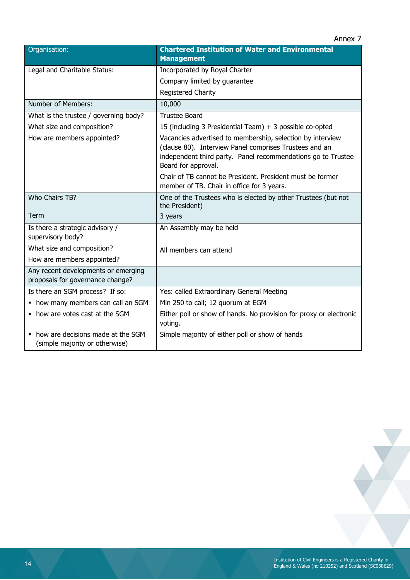|                                                                         | Annex <sub>7</sub>                                                                                                                                                                                          |
|-------------------------------------------------------------------------|-------------------------------------------------------------------------------------------------------------------------------------------------------------------------------------------------------------|
| Organisation:                                                           | <b>Chartered Institution of Water and Environmental</b><br><b>Management</b>                                                                                                                                |
| Legal and Charitable Status:                                            | Incorporated by Royal Charter                                                                                                                                                                               |
|                                                                         | Company limited by guarantee                                                                                                                                                                                |
|                                                                         | Registered Charity                                                                                                                                                                                          |
| Number of Members:                                                      | 10,000                                                                                                                                                                                                      |
| What is the trustee / governing body?                                   | <b>Trustee Board</b>                                                                                                                                                                                        |
| What size and composition?                                              | 15 (including 3 Presidential Team) + 3 possible co-opted                                                                                                                                                    |
| How are members appointed?                                              | Vacancies advertised to membership, selection by interview<br>(clause 80). Interview Panel comprises Trustees and an<br>independent third party. Panel recommendations go to Trustee<br>Board for approval. |
|                                                                         | Chair of TB cannot be President. President must be former<br>member of TB. Chair in office for 3 years.                                                                                                     |
| Who Chairs TB?                                                          | One of the Trustees who is elected by other Trustees (but not<br>the President)                                                                                                                             |
| Term                                                                    | 3 years                                                                                                                                                                                                     |
| Is there a strategic advisory /<br>supervisory body?                    | An Assembly may be held                                                                                                                                                                                     |
| What size and composition?                                              | All members can attend                                                                                                                                                                                      |
| How are members appointed?                                              |                                                                                                                                                                                                             |
| Any recent developments or emerging<br>proposals for governance change? |                                                                                                                                                                                                             |
| Is there an SGM process? If so:                                         | Yes: called Extraordinary General Meeting                                                                                                                                                                   |
| • how many members can call an SGM                                      | Min 250 to call; 12 quorum at EGM                                                                                                                                                                           |
| • how are votes cast at the SGM                                         | Either poll or show of hands. No provision for proxy or electronic<br>voting.                                                                                                                               |
| how are decisions made at the SGM<br>(simple majority or otherwise)     | Simple majority of either poll or show of hands                                                                                                                                                             |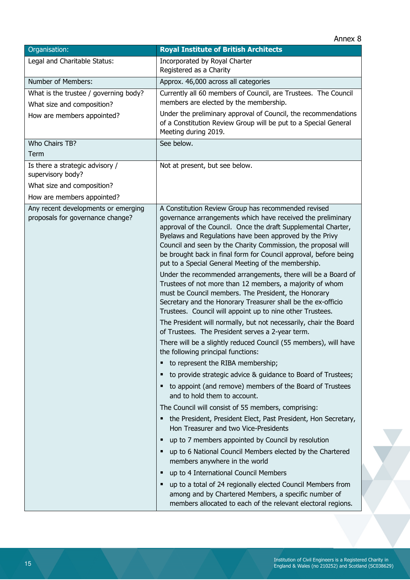| Organisation:                                                                                                    | <b>Royal Institute of British Architects</b>                                                                                                                                                                                                                                                                                                                                                                                                                                                                                                                                                                                                                                                                                                                                                                                                                                                                                                                                                                                                                                                                                                                                                                                                                                                                                                                                                                                                                                                                                                                                                                                                                                                                                                                                             |
|------------------------------------------------------------------------------------------------------------------|------------------------------------------------------------------------------------------------------------------------------------------------------------------------------------------------------------------------------------------------------------------------------------------------------------------------------------------------------------------------------------------------------------------------------------------------------------------------------------------------------------------------------------------------------------------------------------------------------------------------------------------------------------------------------------------------------------------------------------------------------------------------------------------------------------------------------------------------------------------------------------------------------------------------------------------------------------------------------------------------------------------------------------------------------------------------------------------------------------------------------------------------------------------------------------------------------------------------------------------------------------------------------------------------------------------------------------------------------------------------------------------------------------------------------------------------------------------------------------------------------------------------------------------------------------------------------------------------------------------------------------------------------------------------------------------------------------------------------------------------------------------------------------------|
| Legal and Charitable Status:                                                                                     | Incorporated by Royal Charter<br>Registered as a Charity                                                                                                                                                                                                                                                                                                                                                                                                                                                                                                                                                                                                                                                                                                                                                                                                                                                                                                                                                                                                                                                                                                                                                                                                                                                                                                                                                                                                                                                                                                                                                                                                                                                                                                                                 |
| Number of Members:                                                                                               | Approx. 46,000 across all categories                                                                                                                                                                                                                                                                                                                                                                                                                                                                                                                                                                                                                                                                                                                                                                                                                                                                                                                                                                                                                                                                                                                                                                                                                                                                                                                                                                                                                                                                                                                                                                                                                                                                                                                                                     |
| What is the trustee / governing body?<br>What size and composition?<br>How are members appointed?                | Currently all 60 members of Council, are Trustees. The Council<br>members are elected by the membership.<br>Under the preliminary approval of Council, the recommendations<br>of a Constitution Review Group will be put to a Special General<br>Meeting during 2019.                                                                                                                                                                                                                                                                                                                                                                                                                                                                                                                                                                                                                                                                                                                                                                                                                                                                                                                                                                                                                                                                                                                                                                                                                                                                                                                                                                                                                                                                                                                    |
| Who Chairs TB?                                                                                                   | See below.                                                                                                                                                                                                                                                                                                                                                                                                                                                                                                                                                                                                                                                                                                                                                                                                                                                                                                                                                                                                                                                                                                                                                                                                                                                                                                                                                                                                                                                                                                                                                                                                                                                                                                                                                                               |
| Term                                                                                                             |                                                                                                                                                                                                                                                                                                                                                                                                                                                                                                                                                                                                                                                                                                                                                                                                                                                                                                                                                                                                                                                                                                                                                                                                                                                                                                                                                                                                                                                                                                                                                                                                                                                                                                                                                                                          |
| Is there a strategic advisory /<br>supervisory body?<br>What size and composition?<br>How are members appointed? | Not at present, but see below.                                                                                                                                                                                                                                                                                                                                                                                                                                                                                                                                                                                                                                                                                                                                                                                                                                                                                                                                                                                                                                                                                                                                                                                                                                                                                                                                                                                                                                                                                                                                                                                                                                                                                                                                                           |
| Any recent developments or emerging<br>proposals for governance change?                                          | A Constitution Review Group has recommended revised<br>governance arrangements which have received the preliminary<br>approval of the Council. Once the draft Supplemental Charter,<br>Byelaws and Regulations have been approved by the Privy<br>Council and seen by the Charity Commission, the proposal will<br>be brought back in final form for Council approval, before being<br>put to a Special General Meeting of the membership.<br>Under the recommended arrangements, there will be a Board of<br>Trustees of not more than 12 members, a majority of whom<br>must be Council members. The President, the Honorary<br>Secretary and the Honorary Treasurer shall be the ex-officio<br>Trustees. Council will appoint up to nine other Trustees.<br>The President will normally, but not necessarily, chair the Board<br>of Trustees. The President serves a 2-year term.<br>There will be a slightly reduced Council (55 members), will have<br>the following principal functions:<br>to represent the RIBA membership;<br>٠<br>to provide strategic advice & guidance to Board of Trustees;<br>٠<br>to appoint (and remove) members of the Board of Trustees<br>and to hold them to account.<br>The Council will consist of 55 members, comprising:<br>the President, President Elect, Past President, Hon Secretary,<br>٠<br>Hon Treasurer and two Vice-Presidents<br>up to 7 members appointed by Council by resolution<br>п<br>up to 6 National Council Members elected by the Chartered<br>٠<br>members anywhere in the world<br>up to 4 International Council Members<br>п<br>up to a total of 24 regionally elected Council Members from<br>٠<br>among and by Chartered Members, a specific number of<br>members allocated to each of the relevant electoral regions. |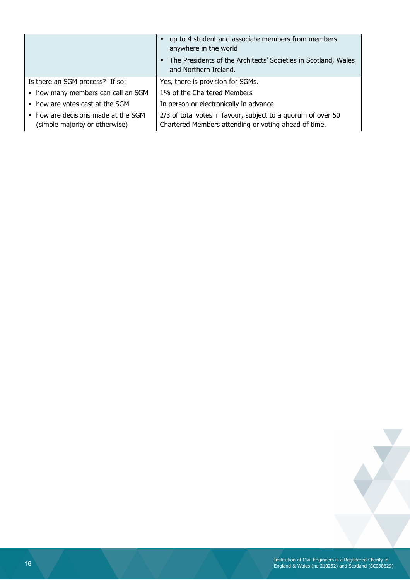|                                                                       | up to 4 student and associate members from members<br>٠<br>anywhere in the world                                     |
|-----------------------------------------------------------------------|----------------------------------------------------------------------------------------------------------------------|
|                                                                       | The Presidents of the Architects' Societies in Scotland, Wales<br>٠<br>and Northern Ireland.                         |
| Is there an SGM process? If so:                                       | Yes, there is provision for SGMs.                                                                                    |
| • how many members can call an SGM                                    | 1% of the Chartered Members                                                                                          |
| • how are votes cast at the SGM                                       | In person or electronically in advance                                                                               |
| • how are decisions made at the SGM<br>(simple majority or otherwise) | 2/3 of total votes in favour, subject to a quorum of over 50<br>Chartered Members attending or voting ahead of time. |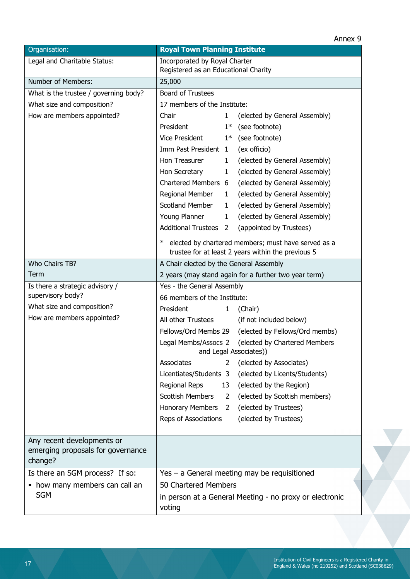#### Annex 9

| Organisation:                                                              | <b>Royal Town Planning Institute</b>                                         |              |                                                                                                           |  |
|----------------------------------------------------------------------------|------------------------------------------------------------------------------|--------------|-----------------------------------------------------------------------------------------------------------|--|
| Legal and Charitable Status:                                               | Incorporated by Royal Charter<br>Registered as an Educational Charity        |              |                                                                                                           |  |
| Number of Members:                                                         | 25,000                                                                       |              |                                                                                                           |  |
| What is the trustee / governing body?                                      | <b>Board of Trustees</b>                                                     |              |                                                                                                           |  |
| What size and composition?                                                 | 17 members of the Institute:                                                 |              |                                                                                                           |  |
| How are members appointed?                                                 | Chair                                                                        | $\mathbf{1}$ | (elected by General Assembly)                                                                             |  |
|                                                                            | President                                                                    |              | $1*$ (see footnote)                                                                                       |  |
|                                                                            | Vice President                                                               |              | $1*$ (see footnote)                                                                                       |  |
|                                                                            | Imm Past President 1                                                         |              | (ex officio)                                                                                              |  |
|                                                                            | Hon Treasurer                                                                | $\mathbf{1}$ | (elected by General Assembly)                                                                             |  |
|                                                                            | Hon Secretary                                                                | $\mathbf{1}$ | (elected by General Assembly)                                                                             |  |
|                                                                            | Chartered Members 6                                                          |              | (elected by General Assembly)                                                                             |  |
|                                                                            | Regional Member                                                              | $\mathbf{1}$ | (elected by General Assembly)                                                                             |  |
|                                                                            | Scotland Member                                                              | $\mathbf{1}$ | (elected by General Assembly)                                                                             |  |
|                                                                            | Young Planner                                                                | $\mathbf{1}$ | (elected by General Assembly)                                                                             |  |
|                                                                            | <b>Additional Trustees 2</b>                                                 |              | (appointed by Trustees)                                                                                   |  |
|                                                                            | ∗                                                                            |              | elected by chartered members; must have served as a<br>trustee for at least 2 years within the previous 5 |  |
| Who Chairs TB?                                                             | A Chair elected by the General Assembly                                      |              |                                                                                                           |  |
| Term                                                                       | 2 years (may stand again for a further two year term)                        |              |                                                                                                           |  |
| Is there a strategic advisory /                                            | Yes - the General Assembly                                                   |              |                                                                                                           |  |
| supervisory body?                                                          | 66 members of the Institute:                                                 |              |                                                                                                           |  |
| What size and composition?                                                 | President                                                                    | $\mathbf{1}$ | (Chair)                                                                                                   |  |
| How are members appointed?                                                 | All other Trustees                                                           |              | (if not included below)                                                                                   |  |
|                                                                            |                                                                              |              | Fellows/Ord Membs 29 (elected by Fellows/Ord membs)                                                       |  |
|                                                                            | Legal Membs/Assocs 2 (elected by Chartered Members<br>and Legal Associates)) |              |                                                                                                           |  |
|                                                                            | Associates                                                                   | $2^{\circ}$  | (elected by Associates)                                                                                   |  |
|                                                                            | Licentiates/Students 3                                                       |              | (elected by Licents/Students)                                                                             |  |
|                                                                            | Regional Reps                                                                | 13           | (elected by the Region)                                                                                   |  |
|                                                                            | <b>Scottish Members</b>                                                      | 2            | (elected by Scottish members)                                                                             |  |
|                                                                            | Honorary Members 2                                                           |              | (elected by Trustees)                                                                                     |  |
|                                                                            | Reps of Associations                                                         |              | (elected by Trustees)                                                                                     |  |
|                                                                            |                                                                              |              |                                                                                                           |  |
| Any recent developments or<br>emerging proposals for governance<br>change? |                                                                              |              |                                                                                                           |  |
| Is there an SGM process? If so:                                            | Yes - a General meeting may be requisitioned                                 |              |                                                                                                           |  |
| • how many members can call an                                             | 50 Chartered Members                                                         |              |                                                                                                           |  |
| <b>SGM</b>                                                                 | voting                                                                       |              | in person at a General Meeting - no proxy or electronic                                                   |  |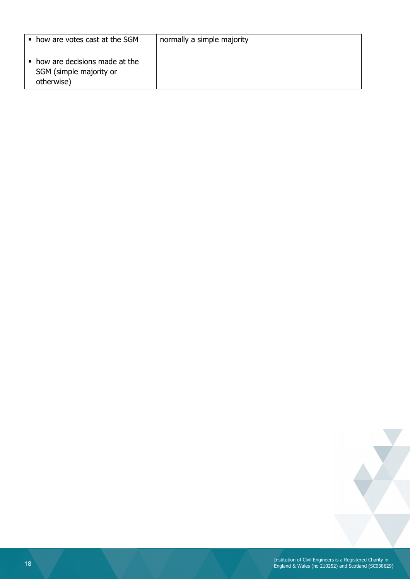| how are votes cast at the SGM                                            | normally a simple majority |
|--------------------------------------------------------------------------|----------------------------|
| • how are decisions made at the<br>SGM (simple majority or<br>otherwise) |                            |